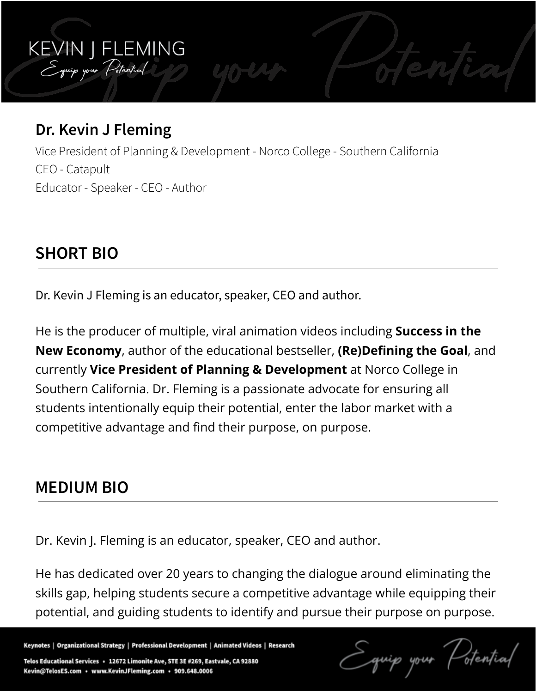### **Dr. Kevin J Fleming**

KEVIN J FLEMING<br>Equip your Potential

Vice President of Planning & Development - Norco College - Southern California CEO - Catapult Educator - Speaker - CEO - Author

#### **SHORT BIO**

Dr. Kevin J Fleming is an educator, speaker, CEO and author.

He is the producer of multiple, viral animation videos including **Success in the New Economy**, author of the educational bestseller, **(Re)Defining the Goal**, and currently **Vice President of Planning & Development** at Norco College in Southern California. Dr. Fleming is a passionate advocate for ensuring all students intentionally equip their potential, enter the labor market with a competitive advantage and find their purpose, on purpose.

#### **MEDIUM BIO**

Dr. Kevin J. Fleming is an educator, speaker, CEO and author.

He has dedicated over 20 years to changing the dialogue around eliminating the skills gap, helping students secure a competitive advantage while equipping their potential, and guiding students to identify and pursue their purpose on purpose.

Keynotes | Organizational Strategy | Professional Development | Animated Videos | Research

Telos Educational Services · 12672 Limonite Ave, STE 3E #269, Eastvale, CA 92880 Kevin@TelosES.com · www.KevinJFleming.com · 909.648.0006

stential quip your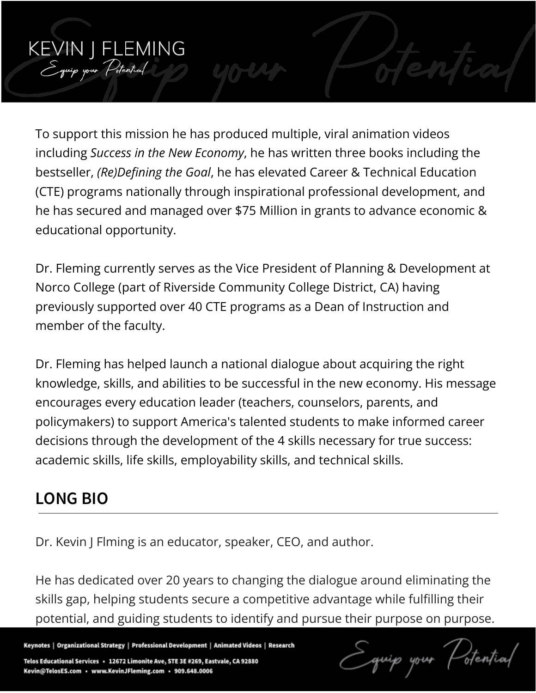

Dr. Fleming currently serves as the Vice President of Planning & Development at Norco College (part of Riverside Community College District, CA) having previously supported over 40 CTE programs as a Dean of Instruction and member of the faculty.

Dr. Fleming has helped launch a national dialogue about acquiring the right knowledge, skills, and abilities to be successful in the new economy. His message encourages every education leader (teachers, counselors, parents, and policymakers) to support America's talented students to make informed career decisions through the development of the 4 skills necessary for true success: academic skills, life skills, employability skills, and technical skills.

## **LONG BIO**

KEVIN J FLEMING<br>Equip your Potential

Dr. Kevin J Flming is an educator, speaker, CEO, and author.

He has dedicated over 20 years to changing the dialogue around eliminating the skills gap, helping students secure a competitive advantage while fulfilling their potential, and guiding students to identify and pursue their purpose on purpose.

Keynotes | Organizational Strategy | Professional Development | Animated Videos | Research

Telos Educational Services · 12672 Limonite Ave, STE 3E #269, Eastvale, CA 92880 Kevin@TelosES.com · www.KevinJFleming.com · 909.648.0006

 $40.44$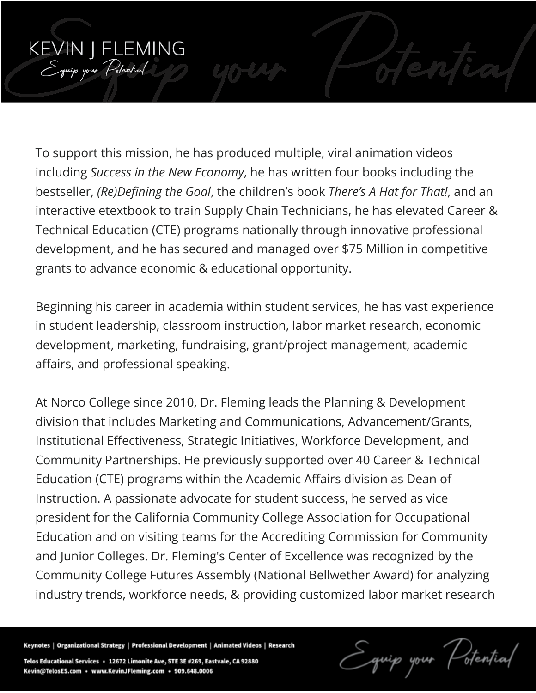# KEVIN J FLEMING<br>Equip your Potential

To support this mission, he has produced multiple, viral animation videos including *Success in the New Economy*, he has written four books including the bestseller, *(Re)Defining the Goal*, the children's book *There's A Hat for That!*, and an interactive etextbook to train Supply Chain Technicians, he has elevated Career & Technical Education (CTE) programs nationally through innovative professional development, and he has secured and managed over \$75 Million in competitive grants to advance economic & educational opportunity.

Beginning his career in academia within student services, he has vast experience in student leadership, classroom instruction, labor market research, economic development, marketing, fundraising, grant/project management, academic affairs, and professional speaking.

At Norco College since 2010, Dr. Fleming leads the Planning & Development division that includes Marketing and Communications, Advancement/Grants, Institutional Effectiveness, Strategic Initiatives, Workforce Development, and Community Partnerships. He previously supported over 40 Career & Technical Education (CTE) programs within the Academic Affairs division as Dean of Instruction. A passionate advocate for student success, he served as vice president for the California Community College Association for Occupational Education and on visiting teams for the Accrediting Commission for Community and Junior Colleges. Dr. Fleming's Center of Excellence was recognized by the Community College Futures Assembly (National Bellwether Award) for analyzing industry trends, workforce needs, & providing customized labor market research

Keynotes | Organizational Strategy | Professional Development | Animated Videos | Research

Telos Educational Services · 12672 Limonite Ave, STE 3E #269, Eastvale, CA 92880 Kevin@TelosES.com · www.KevinJFleming.com · 909.648.0006

Potential quip your